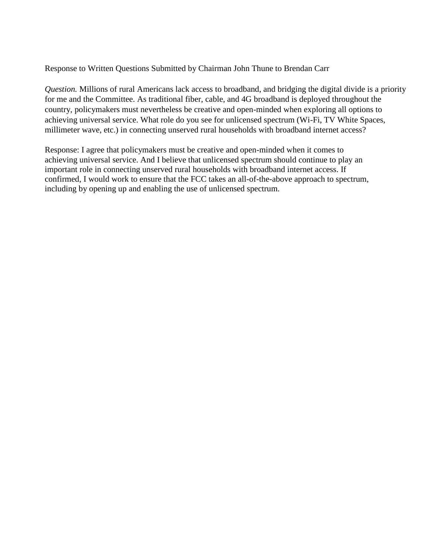Response to Written Questions Submitted by Chairman John Thune to Brendan Carr

*Question.* Millions of rural Americans lack access to broadband, and bridging the digital divide is a priority for me and the Committee. As traditional fiber, cable, and 4G broadband is deployed throughout the country, policymakers must nevertheless be creative and open-minded when exploring all options to achieving universal service. What role do you see for unlicensed spectrum (Wi-Fi, TV White Spaces, millimeter wave, etc.) in connecting unserved rural households with broadband internet access?

Response: I agree that policymakers must be creative and open-minded when it comes to achieving universal service. And I believe that unlicensed spectrum should continue to play an important role in connecting unserved rural households with broadband internet access. If confirmed, I would work to ensure that the FCC takes an all-of-the-above approach to spectrum, including by opening up and enabling the use of unlicensed spectrum.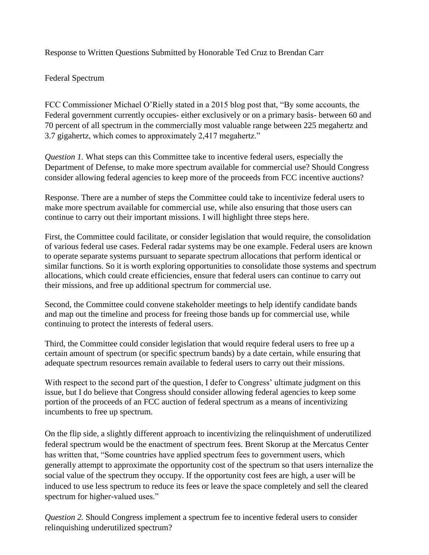Response to Written Questions Submitted by Honorable Ted Cruz to Brendan Carr

Federal Spectrum

FCC Commissioner Michael O'Rielly stated in a 2015 blog post that, "By some accounts, the Federal government currently occupies- either exclusively or on a primary basis- between 60 and 70 percent of all spectrum in the commercially most valuable range between 225 megahertz and 3.7 gigahertz, which comes to approximately 2,417 megahertz."

*Question 1.* What steps can this Committee take to incentive federal users, especially the Department of Defense, to make more spectrum available for commercial use? Should Congress consider allowing federal agencies to keep more of the proceeds from FCC incentive auctions?

Response. There are a number of steps the Committee could take to incentivize federal users to make more spectrum available for commercial use, while also ensuring that those users can continue to carry out their important missions. I will highlight three steps here.

First, the Committee could facilitate, or consider legislation that would require, the consolidation of various federal use cases. Federal radar systems may be one example. Federal users are known to operate separate systems pursuant to separate spectrum allocations that perform identical or similar functions. So it is worth exploring opportunities to consolidate those systems and spectrum allocations, which could create efficiencies, ensure that federal users can continue to carry out their missions, and free up additional spectrum for commercial use.

Second, the Committee could convene stakeholder meetings to help identify candidate bands and map out the timeline and process for freeing those bands up for commercial use, while continuing to protect the interests of federal users.

Third, the Committee could consider legislation that would require federal users to free up a certain amount of spectrum (or specific spectrum bands) by a date certain, while ensuring that adequate spectrum resources remain available to federal users to carry out their missions.

With respect to the second part of the question, I defer to Congress' ultimate judgment on this issue, but I do believe that Congress should consider allowing federal agencies to keep some portion of the proceeds of an FCC auction of federal spectrum as a means of incentivizing incumbents to free up spectrum.

On the flip side, a slightly different approach to incentivizing the relinquishment of underutilized federal spectrum would be the enactment of spectrum fees. Brent Skorup at the Mercatus Center has written that, "Some countries have applied spectrum fees to government users, which generally attempt to approximate the opportunity cost of the spectrum so that users internalize the social value of the spectrum they occupy. If the opportunity cost fees are high, a user will be induced to use less spectrum to reduce its fees or leave the space completely and sell the cleared spectrum for higher-valued uses."

*Question 2.* Should Congress implement a spectrum fee to incentive federal users to consider relinquishing underutilized spectrum?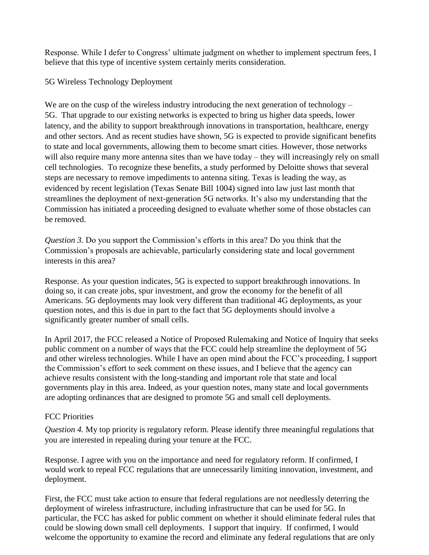Response. While I defer to Congress' ultimate judgment on whether to implement spectrum fees, I believe that this type of incentive system certainly merits consideration.

5G Wireless Technology Deployment

We are on the cusp of the wireless industry introducing the next generation of technology – 5G. That upgrade to our existing networks is expected to bring us higher data speeds, lower latency, and the ability to support breakthrough innovations in transportation, healthcare, energy and other sectors. And as recent studies have shown, 5G is expected to provide significant benefits to state and local governments, allowing them to become smart cities. However, those networks will also require many more antenna sites than we have today – they will increasingly rely on small cell technologies. To recognize these benefits, a study performed by Deloitte shows that several steps are necessary to remove impediments to antenna siting. Texas is leading the way, as evidenced by recent legislation (Texas Senate Bill 1004) signed into law just last month that streamlines the deployment of next-generation 5G networks. It's also my understanding that the Commission has initiated a proceeding designed to evaluate whether some of those obstacles can be removed.

*Question 3.* Do you support the Commission's efforts in this area? Do you think that the Commission's proposals are achievable, particularly considering state and local government interests in this area?

Response. As your question indicates, 5G is expected to support breakthrough innovations. In doing so, it can create jobs, spur investment, and grow the economy for the benefit of all Americans. 5G deployments may look very different than traditional 4G deployments, as your question notes, and this is due in part to the fact that 5G deployments should involve a significantly greater number of small cells.

In April 2017, the FCC released a Notice of Proposed Rulemaking and Notice of Inquiry that seeks public comment on a number of ways that the FCC could help streamline the deployment of 5G and other wireless technologies. While I have an open mind about the FCC's proceeding, I support the Commission's effort to seek comment on these issues, and I believe that the agency can achieve results consistent with the long-standing and important role that state and local governments play in this area. Indeed, as your question notes, many state and local governments are adopting ordinances that are designed to promote 5G and small cell deployments.

## FCC Priorities

*Question 4.* My top priority is regulatory reform. Please identify three meaningful regulations that you are interested in repealing during your tenure at the FCC.

Response. I agree with you on the importance and need for regulatory reform. If confirmed, I would work to repeal FCC regulations that are unnecessarily limiting innovation, investment, and deployment.

First, the FCC must take action to ensure that federal regulations are not needlessly deterring the deployment of wireless infrastructure, including infrastructure that can be used for 5G. In particular, the FCC has asked for public comment on whether it should eliminate federal rules that could be slowing down small cell deployments. I support that inquiry. If confirmed, I would welcome the opportunity to examine the record and eliminate any federal regulations that are only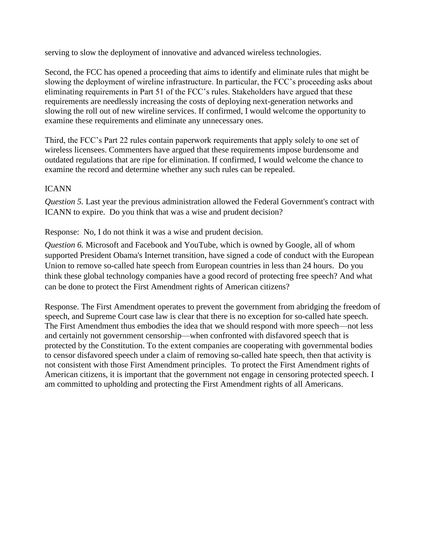serving to slow the deployment of innovative and advanced wireless technologies.

Second, the FCC has opened a proceeding that aims to identify and eliminate rules that might be slowing the deployment of wireline infrastructure. In particular, the FCC's proceeding asks about eliminating requirements in Part 51 of the FCC's rules. Stakeholders have argued that these requirements are needlessly increasing the costs of deploying next-generation networks and slowing the roll out of new wireline services. If confirmed, I would welcome the opportunity to examine these requirements and eliminate any unnecessary ones.

Third, the FCC's Part 22 rules contain paperwork requirements that apply solely to one set of wireless licensees. Commenters have argued that these requirements impose burdensome and outdated regulations that are ripe for elimination. If confirmed, I would welcome the chance to examine the record and determine whether any such rules can be repealed.

## ICANN

*Question 5.* Last year the previous administration allowed the Federal Government's contract with ICANN to expire. Do you think that was a wise and prudent decision?

Response:No, I do not think it was a wise and prudent decision.

*Question 6.* Microsoft and Facebook and YouTube, which is owned by Google, all of whom supported President Obama's Internet transition, have signed a code of conduct with the European Union to remove so-called hate speech from European countries in less than 24 hours. Do you think these global technology companies have a good record of protecting free speech? And what can be done to protect the First Amendment rights of American citizens?

Response. The First Amendment operates to prevent the government from abridging the freedom of speech, and Supreme Court case law is clear that there is no exception for so-called hate speech. The First Amendment thus embodies the idea that we should respond with more speech—not less and certainly not government censorship—when confronted with disfavored speech that is protected by the Constitution. To the extent companies are cooperating with governmental bodies to censor disfavored speech under a claim of removing so-called hate speech, then that activity is not consistent with those First Amendment principles. To protect the First Amendment rights of American citizens, it is important that the government not engage in censoring protected speech. I am committed to upholding and protecting the First Amendment rights of all Americans.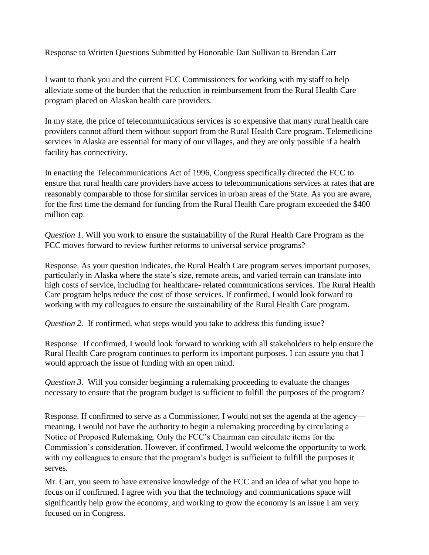Response to Written Questions Submitted by Honorable Dan Sullivan to Brendan Carr

I want to thank you and the current FCC Commissioners for working with my staff to help alleviate some of the burden that the reduction in reimbursement from the Rural Health Care program placed on Alaskan health care providers.

In my state, the price of telecommunications services is so expensive that many rural health care providers cannot afford them without support from the Rural Health Care program. Telemedicine services in Alaska are essential for many of our villages, and they are only possible if a health facility has connectivity.

In enacting the Telecommunications Act of 1996, Congress specifically directed the FCC to ensure that rural health care providers have access to telecommunications services at rates that are reasonably comparable to those for similar services in urban areas of the State. As you are aware, for the first time the demand for funding from the Rural Health Care program exceeded the \$400 million cap.

*Question 1.* Will you work to ensure the sustainability of the Rural Health Care Program as the FCC moves forward to review further reforms to universal service programs?

Response. As your question indicates, the Rural Health Care program serves important purposes, particularly in Alaska where the state's size, remote areas, and varied terrain can translate into high costs of service, including for healthcare- related communications services. The Rural Health Care program helps reduce the cost of those services. If confirmed, I would look forward to working with my colleagues to ensure the sustainability of the Rural Health Care program.

*Question 2.* If confirmed, what steps would you take to address this funding issue?

Response.If confirmed, I would look forward to working with all stakeholders to help ensure the Rural Health Care program continues to perform its important purposes. I can assure you that I would approach the issue of funding with an open mind.

*Question 3.* Will you consider beginning a rulemaking proceeding to evaluate the changes necessary to ensure that the program budget is sufficient to fulfill the purposes of the program?

Response. If confirmed to serve as a Commissioner, I would not set the agenda at the agency meaning, I would not have the authority to begin a rulemaking proceeding by circulating a Notice of Proposed Rulemaking. Only the FCC's Chairman can circulate items for the Commission's consideration. However, if confirmed, I would welcome the opportunity to work with my colleagues to ensure that the program's budget is sufficient to fulfill the purposes it serves.

Mr. Carr, you seem to have extensive knowledge of the FCC and an idea of what you hope to focus on if confirmed. I agree with you that the technology and communications space will significantly help grow the economy, and working to grow the economy is an issue I am very focused on in Congress.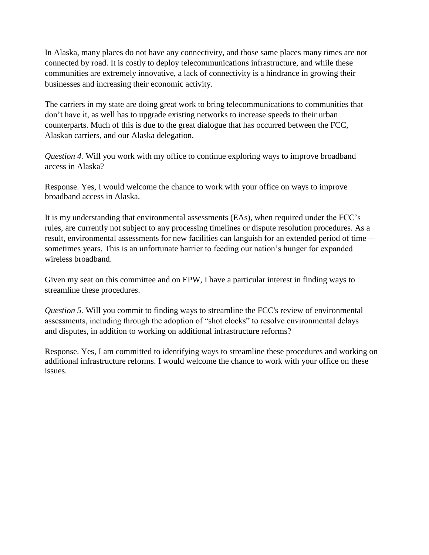In Alaska, many places do not have any connectivity, and those same places many times are not connected by road. It is costly to deploy telecommunications infrastructure, and while these communities are extremely innovative, a lack of connectivity is a hindrance in growing their businesses and increasing their economic activity.

The carriers in my state are doing great work to bring telecommunications to communities that don't have it, as well has to upgrade existing networks to increase speeds to their urban counterparts. Much of this is due to the great dialogue that has occurred between the FCC, Alaskan carriers, and our Alaska delegation.

*Question 4.* Will you work with my office to continue exploring ways to improve broadband access in Alaska?

Response. Yes, I would welcome the chance to work with your office on ways to improve broadband access in Alaska.

It is my understanding that environmental assessments (EAs), when required under the FCC's rules, are currently not subject to any processing timelines or dispute resolution procedures. As a result, environmental assessments for new facilities can languish for an extended period of time sometimes years. This is an unfortunate barrier to feeding our nation's hunger for expanded wireless broadband.

Given my seat on this committee and on EPW, I have a particular interest in finding ways to streamline these procedures.

*Question 5.* Will you commit to finding ways to streamline the FCC's review of environmental assessments, including through the adoption of "shot clocks" to resolve environmental delays and disputes, in addition to working on additional infrastructure reforms?

Response. Yes, I am committed to identifying ways to streamline these procedures and working on additional infrastructure reforms. I would welcome the chance to work with your office on these issues.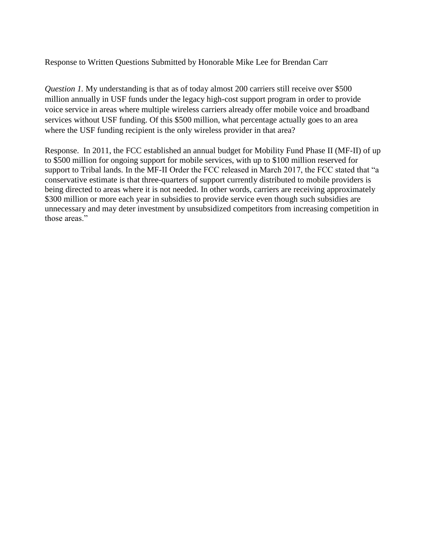## Response to Written Questions Submitted by Honorable Mike Lee for Brendan Carr

*Question 1.* My understanding is that as of today almost 200 carriers still receive over \$500 million annually in USF funds under the legacy high-cost support program in order to provide voice service in areas where multiple wireless carriers already offer mobile voice and broadband services without USF funding. Of this \$500 million, what percentage actually goes to an area where the USF funding recipient is the only wireless provider in that area?

Response.In 2011, the FCC established an annual budget for Mobility Fund Phase II (MF-II) of up to \$500 million for ongoing support for mobile services, with up to \$100 million reserved for support to Tribal lands. In the MF-II Order the FCC released in March 2017, the FCC stated that "a conservative estimate is that three-quarters of support currently distributed to mobile providers is being directed to areas where it is not needed. In other words, carriers are receiving approximately \$300 million or more each year in subsidies to provide service even though such subsidies are unnecessary and may deter investment by unsubsidized competitors from increasing competition in those areas."